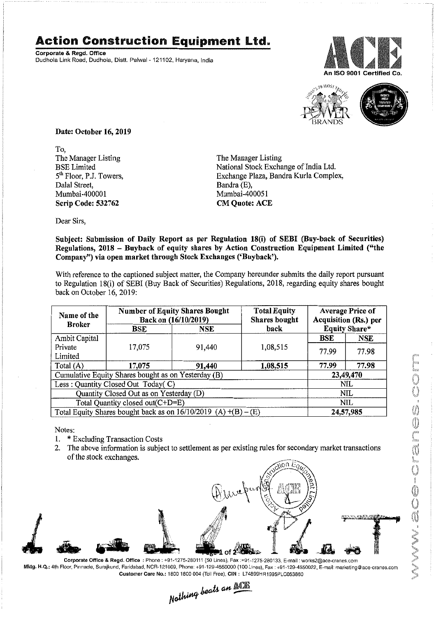## **Action Construction Equipment Ltd.**

Corporate & Regd. Office Dudhola Link Road, Dudhola, Distt. Palwal-121102, Haryana, India





Date: October 16, 2019

To, The Manager Listing BSE Limited 5<sup>th</sup> Floor, P.J. Towers, Dalal Street, Mumbai -400001 Scrip Code: 532762

The Manager Listing National Stock Exchange of India Ltd. Exchange Plaza, Bandra Kurla Complex, Bandra (E), Mumbai-400051 CM Quote: ACE

bear Sirs,

Subject: Submission of Daily Report as per Regulation 18(i) of SEBI (Buy-back of Securities) Regulations, 2018 - Buyback of equity shares by Action Construction Equipment Limited ("the Company") via open market through Stock Exchanges ('Buyback').

With reference to the captioned subject matter, the Company hereunder submits the daily report pursuant to Regulation 18(i) of SEBI (Buy Back of Securities) Regulations, 2018, regarding equity shares bought back on October 16, 2019:

| Name of the<br><b>Broker</b>                                        | <b>Number of Equity Shares Bought</b><br>Back on (16/10/2019) |            | <b>Total Equity</b><br><b>Shares bought</b> | <b>Average Price of</b><br>Acquisition (Rs.) per |            |
|---------------------------------------------------------------------|---------------------------------------------------------------|------------|---------------------------------------------|--------------------------------------------------|------------|
|                                                                     | $_{\rm BSE}$                                                  | <b>NSE</b> | back                                        | Equity Share*                                    |            |
| Ambit Capital                                                       |                                                               |            |                                             | <b>BSE</b>                                       | <b>NSE</b> |
| Private                                                             | 17,075                                                        | 91,440     | 1,08,515                                    | 77.99                                            | 77.98      |
| Limited                                                             |                                                               |            |                                             |                                                  |            |
| Total (A)                                                           | 17,075                                                        | 91,440     | 1,08,515                                    | 77.99                                            | 77.98      |
| Cumulative Equity Shares bought as on Yesterday (B)                 |                                                               |            |                                             | 23,49,470                                        |            |
| Less: Quantity Closed Out Today(C)                                  |                                                               |            |                                             | NIL                                              |            |
| Quantity Closed Out as on Yesterday (D)                             |                                                               |            |                                             | NIL                                              |            |
| Total Quantity closed out(C+D=E)                                    |                                                               |            |                                             | NIL                                              |            |
| Total Equity Shares bought back as on $16/10/2019$ (A) $+(B) - (E)$ |                                                               |            |                                             | 24,57,985                                        |            |

Notes:

- . \* Excluding Transaction Costs
- 2. The above information is subject to settlement as per existing rules for secondary market transactions of the stock exchanges.



Mktg. H.Q.: 4th Floor. Pinnacle. Surajkund, Faridabad, NCR-121009. Phone: +91-129-4550000 (100 Lines). Fax: +91-129-4550022,E-mail:marketing@ace-cranes.com Customer Care No.: 18001800004 (TollFree). CIN: L74899HR1995PlC053860

 $\mathcal{L}_{\alpha}$ th an  $\mathbb{ALR}$ *N~~6 .---*